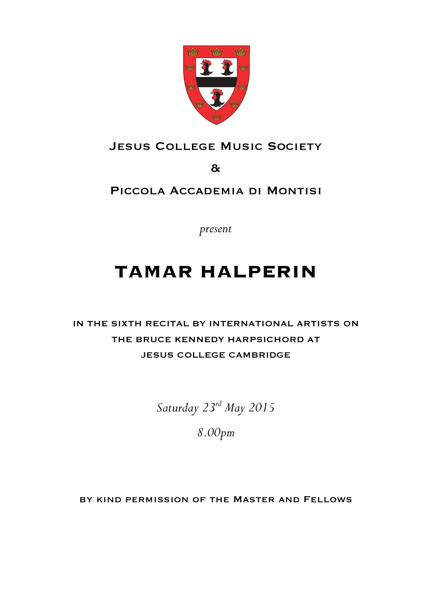

# JESUS COLLEGE MUSIC SOCIETY

&

### Piccola Accademia di Montisi

*present*

# **TAMAR HALPERIN**

# IN THE SIXTH RECITAL BY INTERNATIONAL ARTISTS ON THE BRUCE KENNEDY HARPSICHORD AT JESUS COLLEGE CAMBRIDGE

*Saturday 23rd May 2015*

*8.00pm*

by kind permission of the Master and Fellows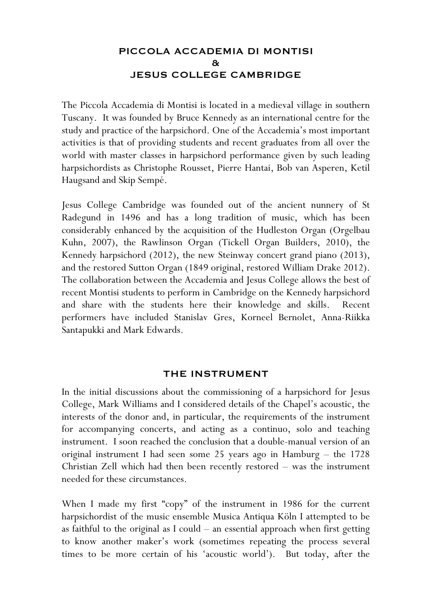### PICCOLA ACCADEMIA DI MONTISI & JESUS COLLEGE CAMBRIDGE

The Piccola Accademia di Montisi is located in a medieval village in southern Tuscany. It was founded by Bruce Kennedy as an international centre for the study and practice of the harpsichord. One of the Accademia's most important activities is that of providing students and recent graduates from all over the world with master classes in harpsichord performance given by such leading harpsichordists as Christophe Rousset, Pierre Hantai, Bob van Asperen, Ketil Haugsand and Skip Sempé.

Jesus College Cambridge was founded out of the ancient nunnery of St Radegund in 1496 and has a long tradition of music, which has been considerably enhanced by the acquisition of the Hudleston Organ (Orgelbau Kuhn, 2007), the Rawlinson Organ (Tickell Organ Builders, 2010), the Kennedy harpsichord (2012), the new Steinway concert grand piano (2013), and the restored Sutton Organ (1849 original, restored William Drake 2012). The collaboration between the Accademia and Jesus College allows the best of recent Montisi students to perform in Cambridge on the Kennedy harpsichord and share with the students here their knowledge and skills. Recent performers have included Stanislav Gres, Korneel Bernolet, Anna-Riikka Santapukki and Mark Edwards.

### THE INSTRUMENT

In the initial discussions about the commissioning of a harpsichord for Jesus College, Mark Williams and I considered details of the Chapel's acoustic, the interests of the donor and, in particular, the requirements of the instrument for accompanying concerts, and acting as a continuo, solo and teaching instrument. I soon reached the conclusion that a double-manual version of an original instrument I had seen some 25 years ago in Hamburg – the 1728 Christian Zell which had then been recently restored – was the instrument needed for these circumstances.

When I made my first "copy" of the instrument in 1986 for the current harpsichordist of the music ensemble Musica Antiqua Köln I attempted to be as faithful to the original as I could – an essential approach when first getting to know another maker's work (sometimes repeating the process several times to be more certain of his 'acoustic world'). But today, after the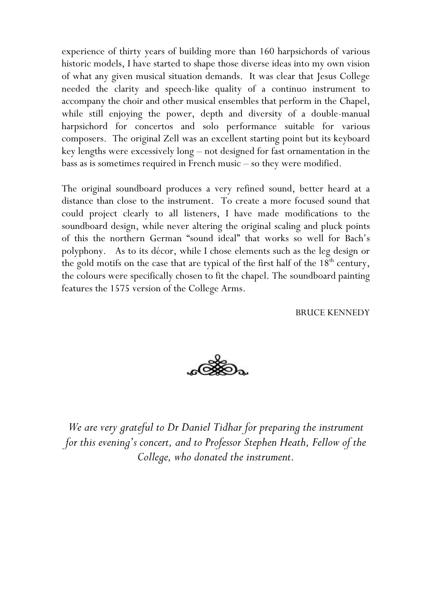experience of thirty years of building more than 160 harpsichords of various historic models, I have started to shape those diverse ideas into my own vision of what any given musical situation demands. It was clear that Jesus College needed the clarity and speech-like quality of a continuo instrument to accompany the choir and other musical ensembles that perform in the Chapel, while still enjoying the power, depth and diversity of a double-manual harpsichord for concertos and solo performance suitable for various composers. The original Zell was an excellent starting point but its keyboard key lengths were excessively long – not designed for fast ornamentation in the bass as is sometimes required in French music – so they were modified.

The original soundboard produces a very refined sound, better heard at a distance than close to the instrument. To create a more focused sound that could project clearly to all listeners, I have made modifications to the soundboard design, while never altering the original scaling and pluck points of this the northern German "sound ideal" that works so well for Bach's polyphony. As to its décor, while I chose elements such as the leg design or the gold motifs on the case that are typical of the first half of the  $18<sup>th</sup>$  century, the colours were specifically chosen to fit the chapel. The soundboard painting features the 1575 version of the College Arms.

BRUCE KENNEDY



*We are very grateful to Dr Daniel Tidhar for preparing the instrument for this evening's concert, and to Professor Stephen Heath, Fellow of the College, who donated the instrument.*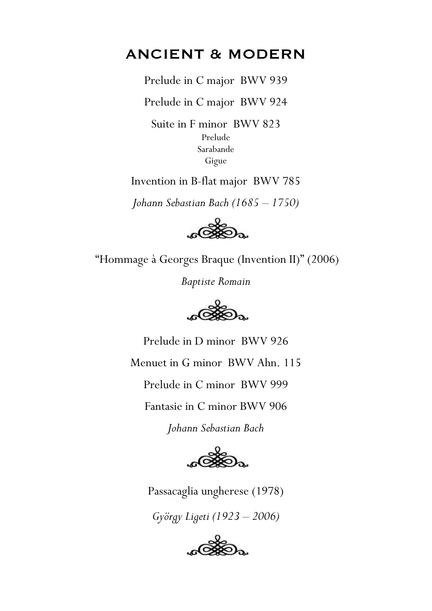# ANCIENT & MODERN

Prelude in C major BWV 939

Prelude in C major BWV 924

Suite in F minor BWV 823 Prelude Sarabande Gigue

Invention in B-flat major BWV 785

*Johann Sebastian Bach (1685 – 1750)*



"Hommage à Georges Braque (Invention II)" (2006)

*Baptiste Romain*



Prelude in D minor BWV 926 Menuet in G minor BWV Ahn. 115 Prelude in C minor BWV 999 Fantasie in C minor BWV 906 *Johann Sebastian Bach*



Passacaglia ungherese (1978)

*György Ligeti (1923 – 2006)*

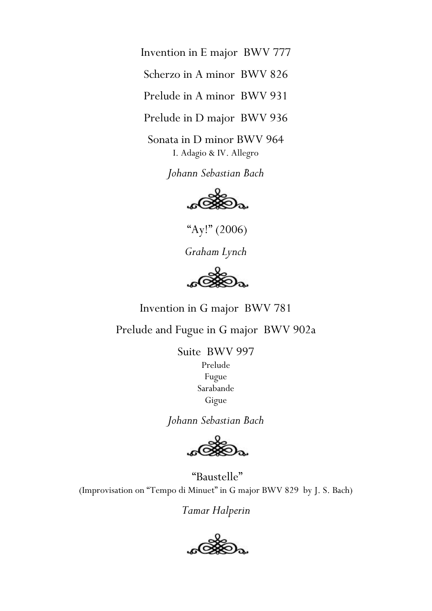Invention in E major BWV 777

Scherzo in A minor BWV 826

Prelude in A minor BWV 931

Prelude in D major BWV 936

Sonata in D minor BWV 964 I. Adagio & IV. Allegro

*Johann Sebastian Bach*



"Ay!" (2006)

*Graham Lynch*

Invention in G major BWV 781

Prelude and Fugue in G major BWV 902a

Suite BWV 997 Prelude Fugue Sarabande Gigue

*Johann Sebastian Bach*

 "Baustelle" (Improvisation on "Tempo di Minuet" in G major BWV 829 by J. S. Bach)

*Tamar Halperin* 

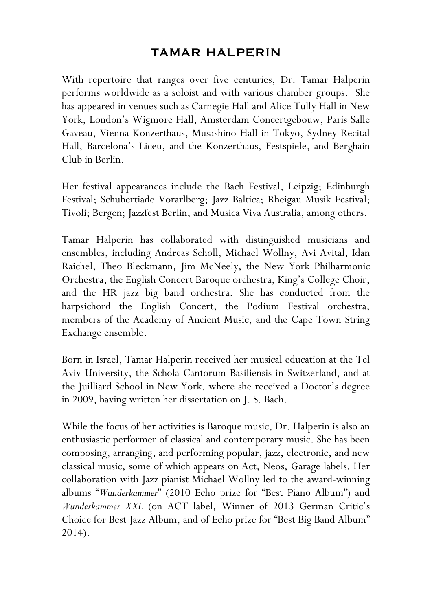## TAMAR HALPERIN

With repertoire that ranges over five centuries, Dr. Tamar Halperin performs worldwide as a soloist and with various chamber groups. She has appeared in venues such as Carnegie Hall and Alice Tully Hall in New York, London's Wigmore Hall, Amsterdam Concertgebouw, Paris Salle Gaveau, Vienna Konzerthaus, Musashino Hall in Tokyo, Sydney Recital Hall, Barcelona's Liceu, and the Konzerthaus, Festspiele, and Berghain Club in Berlin.

Her festival appearances include the Bach Festival, Leipzig; Edinburgh Festival; Schubertiade Vorarlberg; Jazz Baltica; Rheigau Musik Festival; Tivoli; Bergen; Jazzfest Berlin, and Musica Viva Australia, among others.

Tamar Halperin has collaborated with distinguished musicians and ensembles, including Andreas Scholl, Michael Wollny, Avi Avital, Idan Raichel, Theo Bleckmann, Jim McNeely, the New York Philharmonic Orchestra, the English Concert Baroque orchestra, King's College Choir, and the HR jazz big band orchestra. She has conducted from the harpsichord the English Concert, the Podium Festival orchestra, members of the Academy of Ancient Music, and the Cape Town String Exchange ensemble.

Born in Israel, Tamar Halperin received her musical education at the Tel Aviv University, the Schola Cantorum Basiliensis in Switzerland, and at the Juilliard School in New York, where she received a Doctor's degree in 2009, having written her dissertation on J. S. Bach.

While the focus of her activities is Baroque music, Dr. Halperin is also an enthusiastic performer of classical and contemporary music. She has been composing, arranging, and performing popular, jazz, electronic, and new classical music, some of which appears on Act, Neos, Garage labels. Her collaboration with Jazz pianist Michael Wollny led to the award-winning albums "*Wunderkammer*" (2010 Echo prize for "Best Piano Album") and *Wunderkammer XXL* (on ACT label, Winner of 2013 German Critic's Choice for Best Jazz Album, and of Echo prize for "Best Big Band Album" 2014).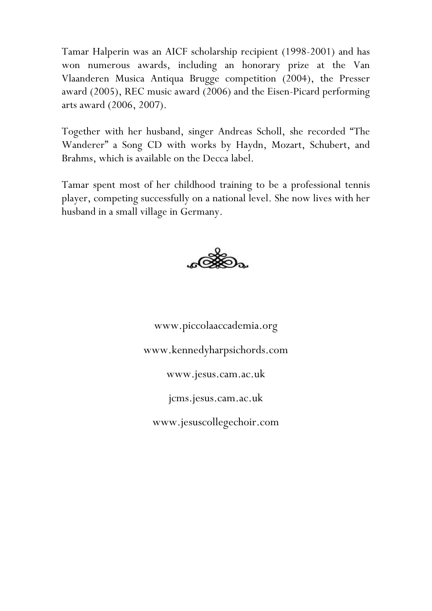Tamar Halperin was an AICF scholarship recipient (1998-2001) and has won numerous awards, including an honorary prize at the Van Vlaanderen Musica Antiqua Brugge competition (2004), the Presser award (2005), REC music award (2006) and the Eisen-Picard performing arts award (2006, 2007).

Together with her husband, singer Andreas Scholl, she recorded "The Wanderer" a Song CD with works by Haydn, Mozart, Schubert, and Brahms, which is available on the Decca label.

Tamar spent most of her childhood training to be a professional tennis player, competing successfully on a national level. She now lives with her husband in a small village in Germany.



www.piccolaaccademia.org www.kennedyharpsichords.com www.jesus.cam.ac.uk jcms.jesus.cam.ac.uk www.jesuscollegechoir.com